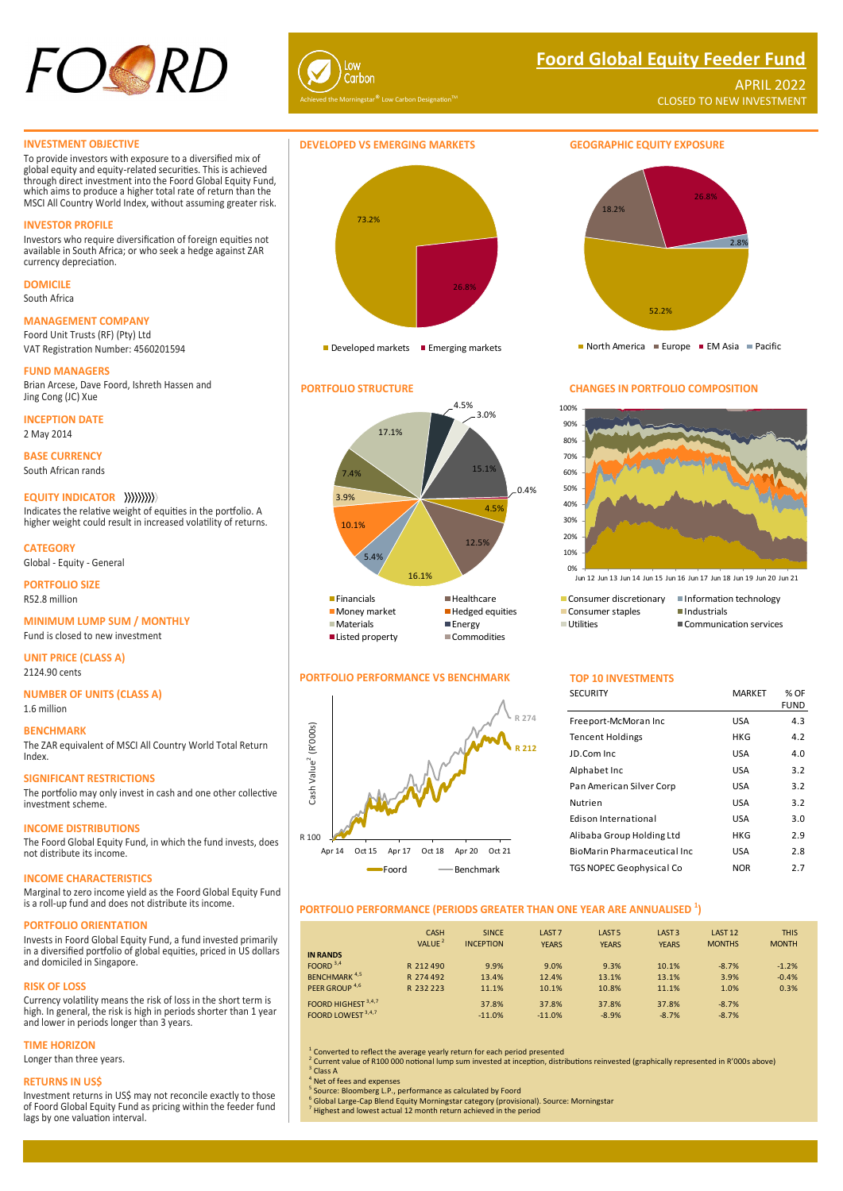

# **Foord Global Equity Feeder Fund**

APRIL 2022 CLOSED TO NEW INVESTMENT

#### **INVESTMENT OBJECTIVE**

To provide investors with exposure to a diversified mix of global equity and equity-related securities. This is achieved through direct investment into the Foord Global Equity Fund, which aims to produce a higher total rate of return than the MSCI All Country World Index, without assuming greater risk.

#### **INVESTOR PROFILE**

Investors who require diversification of foreign equities not available in South Africa; or who seek a hedge against ZAR currency depreciation.

# **DOMICILE**

South Africa

## **MANAGEMENT COMPANY**

Foord Unit Trusts (RF) (Pty) Ltd VAT Registration Number: 4560201594

#### **FUND MANAGERS**

Brian Arcese, Dave Foord, Ishreth Hassen and Jing Cong (JC) Xue

**INCEPTION DATE**

2 May 2014

**BASE CURRENCY** South African rands

#### **EQUITY INDICATOR**

Indicates the relative weight of equities in the portfolio. A higher weight could result in increased volatility of returns.

**CATEGORY** Global - Equity - General

**PORTFOLIO SIZE** R52.8 million

# **MINIMUM LUMP SUM / MONTHLY**

Fund is closed to new investment

**UNIT PRICE (CLASS A)** 2124.90 cents

**NUMBER OF UNITS (CLASS A)**

# 1.6 million

#### **BENCHMARK**

The ZAR equivalent of MSCI All Country World Total Return Index.

#### **SIGNIFICANT RESTRICTIONS**

The portfolio may only invest in cash and one other collective investment scheme.

#### **INCOME DISTRIBUTIONS**

The Foord Global Equity Fund, in which the fund invests, does not distribute its income.

## **INCOME CHARACTERISTICS**

Marginal to zero income yield as the Foord Global Equity Fund is a roll-up fund and does not distribute its income.

# **PORTFOLIO ORIENTATION**

Invests in Foord Global Equity Fund, a fund invested primarily in a diversified portfolio of global equities, priced in US dollars and domiciled in Singapore.

#### **RISK OF LOSS**

Currency volatility means the risk of loss in the short term is high. In general, the risk is high in periods shorter than 1 year and lower in periods longer than 3 years.

### **TIME HORIZON**

Longer than three years.

#### **RETURNS IN US\$**

Investment returns in US\$ may not reconcile exactly to those of Foord Global Equity Fund as pricing within the feeder fund lags by one valuation interval.



Developed markets Emerging markets



#### **PORTFOLIO PERFORMANCE VS BENCHMARK TOP 10 INVESTMENTS**





North America Europe EM Asia Pacific

#### **PORTFOLIO STRUCTURE CHANGES IN PORTFOLIO COMPOSITION**



Jun 12 Jun 13 Jun 14 Jun 15 Jun 16 Jun 17 Jun 18 Jun 19 Jun 20 Jun 21

- -
	- **Utilities**
- 
- Communication services
- 

| <b>SECURITY</b>              | <b>MARKET</b> | % OF<br><b>FUND</b> |
|------------------------------|---------------|---------------------|
| Freeport-McMoran Inc         | USA           | 4.3                 |
| <b>Tencent Holdings</b>      | HKG           | 4.2                 |
| JD.Com Inc.                  | USA           | 4.0                 |
| Alphabet Inc                 | USA           | 3.2                 |
| Pan American Silver Corp     | USA           | 3.2                 |
| Nutrien                      | USA           | 3.2                 |
| <b>Edison International</b>  | USA           | 3.0                 |
| Alibaba Group Holding Ltd    | HKG           | 2.9                 |
| BioMarin Pharmaceutical Inc. | USA           | 2.8                 |
| TGS NOPEC Geophysical Co     | <b>NOR</b>    | 2.7                 |
|                              |               |                     |

## **PORTFOLIO PERFORMANCE (PERIODS GREATER THAN ONE YEAR ARE ANNUALISED <sup>1</sup> )**

|                                 | CASH<br>VALUE <sup>2</sup> | <b>SINCE</b><br><b>INCEPTION</b> | LAST <sub>7</sub><br><b>YEARS</b> | LAST <sub>5</sub><br><b>YEARS</b> | LAST <sub>3</sub><br><b>YEARS</b> | LAST <sub>12</sub><br><b>MONTHS</b> | <b>THIS</b><br><b>MONTH</b> |
|---------------------------------|----------------------------|----------------------------------|-----------------------------------|-----------------------------------|-----------------------------------|-------------------------------------|-----------------------------|
| <b>IN RANDS</b><br>FOORD $3,4$  | R 212 490                  | 9.9%                             | 9.0%                              | 9.3%                              | 10.1%                             | $-8.7%$                             | $-1.2%$                     |
| <b>BENCHMARK</b> <sup>4,5</sup> | R 274 492                  | 13.4%                            | 12.4%                             | 13.1%                             | 13.1%                             | 3.9%                                | $-0.4%$                     |
| PEER GROUP <sup>4,6</sup>       | R 232 223                  | 11.1%                            | 10.1%                             | 10.8%                             | 11.1%                             | 1.0%                                | 0.3%                        |
| FOORD HIGHEST <sup>3,4,7</sup>  |                            | 37.8%                            | 37.8%                             | 37.8%                             | 37.8%                             | $-8.7%$                             |                             |
| FOORD LOWEST 3,4,7              |                            | $-11.0%$                         | $-11.0%$                          | $-8.9%$                           | $-8.7%$                           | $-8.7%$                             |                             |

<sup>1</sup> Converted to reflect the average yearly return for each period presented

<sup>2</sup> Current value of R100 000 notional lump sum invested at inception, distributions reinvested (graphically represented in R'000s above) 3

<sup>3</sup> Class A<br><sup>4</sup> Net of fees and expenses

5 Source: Bloomberg L.P., performance as calculated by Foord

<sup>6</sup> Global Large-Cap Blend Equity Morningstar category (provisional). Source: Morningstar<br><sup>7</sup> Highest and lowest actual 12 month return achieved in the period